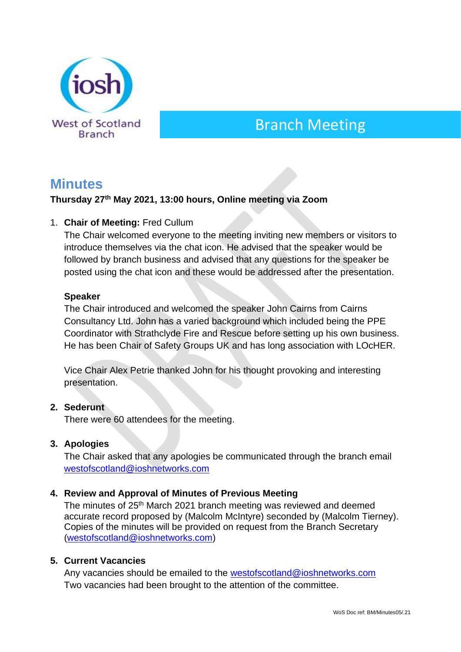

# Branch Meeting

# **Minutes**

# **Thursday 27 th May 2021, 13:00 hours, Online meeting via Zoom**

## 1. **Chair of Meeting:** Fred Cullum

The Chair welcomed everyone to the meeting inviting new members or visitors to introduce themselves via the chat icon. He advised that the speaker would be followed by branch business and advised that any questions for the speaker be posted using the chat icon and these would be addressed after the presentation.

#### **Speaker**

The Chair introduced and welcomed the speaker John Cairns from Cairns Consultancy Ltd. John has a varied background which included being the PPE Coordinator with Strathclyde Fire and Rescue before setting up his own business. He has been Chair of Safety Groups UK and has long association with LOcHER.

Vice Chair Alex Petrie thanked John for his thought provoking and interesting presentation.

#### **2. Sederunt**

There were 60 attendees for the meeting.

#### **3. Apologies**

The Chair asked that any apologies be communicated through the branch email [westofscotland@ioshnetworks.com](about:blank)

#### **4. Review and Approval of Minutes of Previous Meeting**

The minutes of 25<sup>th</sup> March 2021 branch meeting was reviewed and deemed accurate record proposed by (Malcolm McIntyre) seconded by (Malcolm Tierney). Copies of the minutes will be provided on request from the Branch Secretary [\(westofscotland@ioshnetworks.com\)](about:blank)

#### **5. Current Vacancies**

Any vacancies should be emailed to the [westofscotland@ioshnetworks.com](mailto:westofscotland@ioshnetworks.com) Two vacancies had been brought to the attention of the committee.